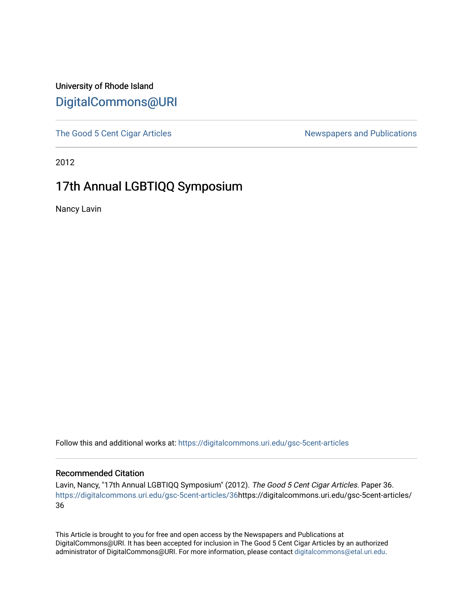#### University of Rhode Island [DigitalCommons@URI](https://digitalcommons.uri.edu/)

[The Good 5 Cent Cigar Articles](https://digitalcommons.uri.edu/gsc-5cent-articles) Newspapers and Publications

2012

### 17th Annual LGBTIQQ Symposium

Nancy Lavin

Follow this and additional works at: [https://digitalcommons.uri.edu/gsc-5cent-articles](https://digitalcommons.uri.edu/gsc-5cent-articles?utm_source=digitalcommons.uri.edu%2Fgsc-5cent-articles%2F36&utm_medium=PDF&utm_campaign=PDFCoverPages) 

#### Recommended Citation

Lavin, Nancy, "17th Annual LGBTIQQ Symposium" (2012). The Good 5 Cent Cigar Articles. Paper 36. [https://digitalcommons.uri.edu/gsc-5cent-articles/36](https://digitalcommons.uri.edu/gsc-5cent-articles/36?utm_source=digitalcommons.uri.edu%2Fgsc-5cent-articles%2F36&utm_medium=PDF&utm_campaign=PDFCoverPages)https://digitalcommons.uri.edu/gsc-5cent-articles/ 36

This Article is brought to you for free and open access by the Newspapers and Publications at DigitalCommons@URI. It has been accepted for inclusion in The Good 5 Cent Cigar Articles by an authorized administrator of DigitalCommons@URI. For more information, please contact [digitalcommons@etal.uri.edu.](mailto:digitalcommons@etal.uri.edu)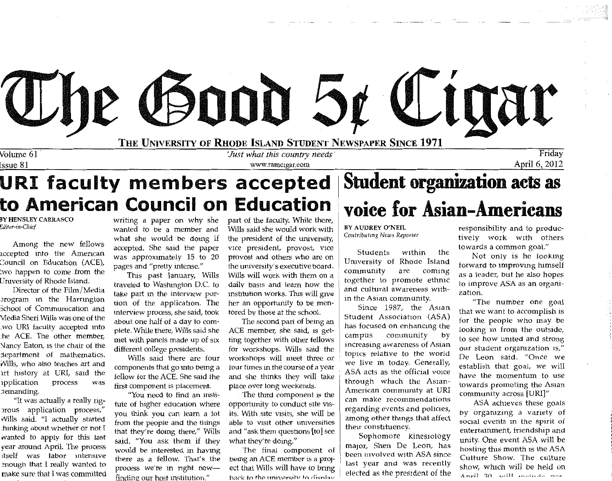

**URI faculty members accepted to American Council on Education** 

BY HENSLEY CARRASCO *Editor-in-Chief* 

Among the new fellows accepted into the American Council on Education (ACE), :wo happen to come from the Umversity of Rhode Island.

Director of the Film/Medi Jrogram 1n the Harrington 3chool of Commumcation and Viedia Sheri Wills was one of the wo URI faculty accepted. into he ACE. The other member, \J ancy Eaton, 1s the chair of the department of mathematics. Nills, who also teaches art and art history at URI, said the 1pplication process was 1emanding.

"It was actually a really ng-Jrous application process," Wills said. "I actually started hinking about whether or not I wanted to apply for this last vear around April. The process ltself was labor 1ntens1ve enough that I really wanted to make sure that I was committed

writing a paper on why she wanted to be a member and what she would be doing if accepted. She said the paper was approximately 15 to 20 pages and "pretty intense."

This past fanuary, Wills traveled to Washington D.C. to take part 1n the interview portion of the application. The interview process, she said, took about one half of a day to complete. While there, Wills said she met with panels made up of six different college presidents.

Wills said there are four components that go mto being a fellow for the ACE. She said the first component is placement.

"Y0u need to find an mstitute of higher education where you think you can learn a lot from the people and the things that they're domg there," Wills said. "You ask them if they would be interested in havmg there as a fellow. That's the process we're in right nowfinding our host institution."

part of the faculty. While there, Wills said she would work with the president of the umversity, vice president, provost, vice provost and others who are on the university's executive board. Wills will work with them on a daily basis and learn how the mshtution works. This will give her an opportunity to be mentored by those at the school.

The second part of being an ACE member, she said, 1s getting together with other fellows for workshops. Wills said the workshops will meet three or tour times in the course of a year and she thinks they will take place over long weekends.

The third component is the opportumty to conduct site visits. With site visits, she will be able to visit other universitie and "ask them questions [to] see what they're doing."

The final component of being an ACE member 1s a proJect that Wills will have to bring hack to the university to display

### **Student organization acts as voice for Asian-Americans**

BY AUDREY O'NEIL *Contributing News Reporter* 

Students within the University of Rhode Island community are coming together to promote ethnic and cultural awareness within the Asian community.

Since 1987, the Asian Student Association (ASA) has focused on enhancing the campus community by increasing awareness of Asian topics relative to the world we live 1n today. Generally, ASA acts as the official voice through which the Asian-American community at URI can make recommendatio regarding events and policies, among other thmgs that affect their constituency.

Sophomore kinesiology major, Shen De Leon, has been involved with ASA since last year and was recently elected as the president of the

responsibility and to productively work with others towards a common goal."

Not only is he lookmg forward to improving himself as a leader, but he also hopes to improve ASA as an organization.

"The number one goal that we want to accomplish 1s tor the people who may be looking m from the outside, to see how united and strong our student organization 1s," De Leon said. "Once we establish that goal, we will have the momentum to use towards promoting the Asian community across [URI]"

ASA achieves these goals by organizing a variety of social events 1n the spirit of entertainment, friendship and unity. One event ASA will be hosting this month is the ASA Culture Show. The culture show, which will be held on April 20 will mobids not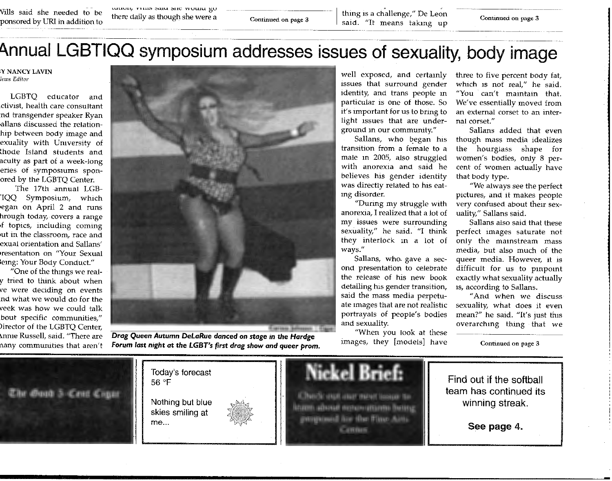Vills said she needed to be ponsored by URI in addition to

vuuvit, rvins said site would go there daily as though she were a

Continued on page 3 thing is a challenge," De Leon Continued on page 3 said. "It means taking up

### Annual LGBTIQQ symposium addresses issues of sexuality, body image

**,y NANCY LAVIN**  *Tews Editor* 

LGBTQ educator and ctivist, health care consultant nd transgender speaker Ryan ,allans discussed the relationhip between body image and exuality with University of lhode Island students and acuity as part of a week-Jong eries of symposiums sponored by the LGBTQ Center.

The 17th annual LGB- 'IQQ Symposium, which egan on April 2 and runs hrough today, covers a range 1£ topics, including coming 1ut in the classroom, race and exual onentation and Sallans' resentation on "Your Sexual iemg: Your Body Conduct."

"One of the thmgs we realy tried to think about when *ve* were deciding on events nd what we would do for the veek was how we could talk bout specific communities/' >irector of the LGBTQ Center, \nme Russell, said. "There are nany communities that aren't



*Drag* **Queen Autumn** *DeLaRue danced* **on stage** In **the** *Hardge*  **Forum** *last* **night at the** *LGBT's first drag show and queer* **prom.** 

well exposed, and certamly issues that surround gender identity, and trans people m particular 1s one of those. So it's important for us to bring to light issues that are underground 1n our community."

Sallans, who began his transition from a female to a male m 2005, also struggled with anorexia and said he believes his gender identity was directly related to his eating disorder.

"Durmg my struggle with anorexia, I realized that a lot of my issues were surrounding sexuality," he said. "I think they interlock m a lot of ways."

Sallans, who. gave a second presentation to celebrate the release of his new book detailing his gender transition, said the mass media perpetuate images that are not realistic portrayals of people's bodies and sexuality.

"When you look at these images, they [models] have

three to five percent body fat, which 1s not real," he said. "You can't maintain that. We've essentially moved from an external corset to an internal corset."

Sallans added that even though mass media idealizes the hourglass shape for women's bodies, only 8 percent of women actually have that body type.

"We always see the perfect pictures, and it makes people very confused about their sexuality," Sallans said.

Sallans also said that these perfect images saturate not only the mainstream mass media, but also much of the queer media. However, it is difficult for us to pmpomt exactly what sexuality actually 1s, according to Sallans.

"And when we discus sexuality, what does it even mean?" he said. "It's just this overarching thing that we

Continued on page 3